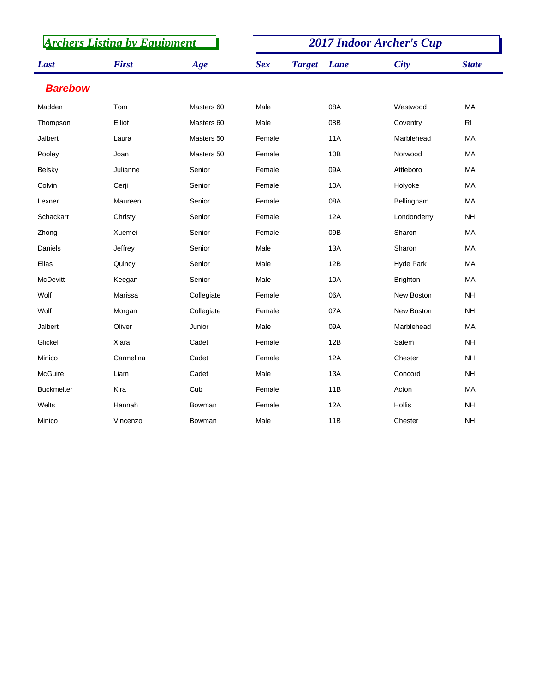| <b>Archers Listing by Equipment</b> |              |            |            | <b>2017 Indoor Archer's Cup</b> |                   |                |  |  |
|-------------------------------------|--------------|------------|------------|---------------------------------|-------------------|----------------|--|--|
| Last                                | <b>First</b> | Age        | <b>Sex</b> | <b>Target</b><br>Lane           | <b>City</b>       | <b>State</b>   |  |  |
| <b>Barebow</b>                      |              |            |            |                                 |                   |                |  |  |
| Madden                              | Tom          | Masters 60 | Male       | 08A                             | Westwood          | MA             |  |  |
| Thompson                            | Elliot       | Masters 60 | Male       | 08B                             | Coventry          | R <sub>l</sub> |  |  |
| Jalbert                             | Laura        | Masters 50 | Female     | <b>11A</b>                      | Marblehead        | <b>MA</b>      |  |  |
| Pooley                              | Joan         | Masters 50 | Female     | 10B                             | Norwood           | MA             |  |  |
| <b>Belsky</b>                       | Julianne     | Senior     | Female     | 09A                             | Attleboro         | MA             |  |  |
| Colvin                              | Cerji        | Senior     | Female     | 10A                             | Holyoke           | MA             |  |  |
| Lexner                              | Maureen      | Senior     | Female     | 08A                             | Bellingham        | MA             |  |  |
| Schackart                           | Christy      | Senior     | Female     | 12A                             | Londonderry       | <b>NH</b>      |  |  |
| Zhong                               | Xuemei       | Senior     | Female     | 09B                             | Sharon            | MA             |  |  |
| Daniels                             | Jeffrey      | Senior     | Male       | <b>13A</b>                      | Sharon            | MA             |  |  |
| Elias                               | Quincy       | Senior     | Male       | 12B                             | Hyde Park         | MA             |  |  |
| <b>McDevitt</b>                     | Keegan       | Senior     | Male       | <b>10A</b>                      | <b>Brighton</b>   | MA             |  |  |
| Wolf                                | Marissa      | Collegiate | Female     | 06A                             | <b>New Boston</b> | <b>NH</b>      |  |  |
| Wolf                                | Morgan       | Collegiate | Female     | 07A                             | New Boston        | <b>NH</b>      |  |  |
| Jalbert                             | Oliver       | Junior     | Male       | 09A                             | Marblehead        | <b>MA</b>      |  |  |
| Glickel                             | Xiara        | Cadet      | Female     | 12B                             | Salem             | <b>NH</b>      |  |  |
| Minico                              | Carmelina    | Cadet      | Female     | 12A                             | Chester           | <b>NH</b>      |  |  |
| McGuire                             | Liam         | Cadet      | Male       | 13A                             | Concord           | <b>NH</b>      |  |  |
| <b>Buckmelter</b>                   | Kira         | Cub        | Female     | 11B                             | Acton             | MA             |  |  |
| Welts                               | Hannah       | Bowman     | Female     | 12A                             | Hollis            | <b>NH</b>      |  |  |
| Minico                              | Vincenzo     | Bowman     | Male       | 11B                             | Chester           | <b>NH</b>      |  |  |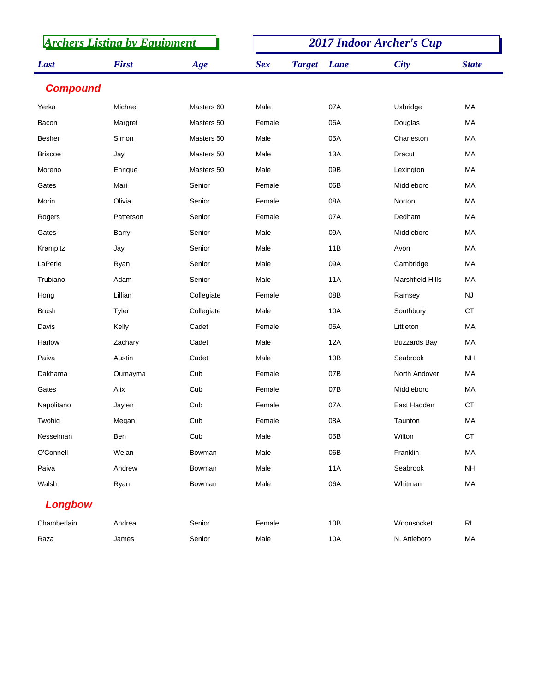| <b>Archers Listing by Equipment</b> |              |            |            | <b>2017 Indoor Archer's Cup</b> |      |                         |                |  |
|-------------------------------------|--------------|------------|------------|---------------------------------|------|-------------------------|----------------|--|
| Last                                | <b>First</b> | Age        | <b>Sex</b> | <b>Target</b>                   | Lane | <b>City</b>             | <b>State</b>   |  |
| <b>Compound</b>                     |              |            |            |                                 |      |                         |                |  |
| Yerka                               | Michael      | Masters 60 | Male       |                                 | 07A  | Uxbridge                | MA             |  |
| Bacon                               | Margret      | Masters 50 | Female     |                                 | 06A  | Douglas                 | MA             |  |
| <b>Besher</b>                       | Simon        | Masters 50 | Male       |                                 | 05A  | Charleston              | <b>MA</b>      |  |
| <b>Briscoe</b>                      | Jay          | Masters 50 | Male       |                                 | 13A  | Dracut                  | MA             |  |
| Moreno                              | Enrique      | Masters 50 | Male       |                                 | 09B  | Lexington               | MA             |  |
| Gates                               | Mari         | Senior     | Female     |                                 | 06B  | Middleboro              | MA             |  |
| Morin                               | Olivia       | Senior     | Female     |                                 | 08A  | Norton                  | MA             |  |
| Rogers                              | Patterson    | Senior     | Female     |                                 | 07A  | Dedham                  | MA             |  |
| Gates                               | <b>Barry</b> | Senior     | Male       |                                 | 09A  | Middleboro              | <b>MA</b>      |  |
| Krampitz                            | Jay          | Senior     | Male       |                                 | 11B  | Avon                    | MA             |  |
| LaPerle                             | Ryan         | Senior     | Male       |                                 | 09A  | Cambridge               | MA             |  |
| Trubiano                            | Adam         | Senior     | Male       |                                 | 11A  | <b>Marshfield Hills</b> | MA             |  |
| Hong                                | Lillian      | Collegiate | Female     |                                 | 08B  | Ramsey                  | <b>NJ</b>      |  |
| <b>Brush</b>                        | Tyler        | Collegiate | Male       |                                 | 10A  | Southbury               | <b>CT</b>      |  |
| Davis                               | Kelly        | Cadet      | Female     |                                 | 05A  | Littleton               | <b>MA</b>      |  |
| Harlow                              | Zachary      | Cadet      | Male       |                                 | 12A  | <b>Buzzards Bay</b>     | МA             |  |
| Paiva                               | Austin       | Cadet      | Male       |                                 | 10B  | Seabrook                | <b>NH</b>      |  |
| Dakhama                             | Oumayma      | Cub        | Female     |                                 | 07B  | North Andover           | MA             |  |
| Gates                               | Alix         | Cub        | Female     |                                 | 07B  | Middleboro              | MA             |  |
| Napolitano                          | Jaylen       | Cub        | Female     |                                 | 07A  | East Hadden             | <b>CT</b>      |  |
| Twohig                              | Megan        | Cub        | Female     |                                 | 08A  | Taunton                 | MA             |  |
| Kesselman                           | Ben          | Cub        | Male       |                                 | 05B  | Wilton                  | CT             |  |
| O'Connell                           | Welan        | Bowman     | Male       |                                 | 06B  | Franklin                | MA             |  |
| Paiva                               | Andrew       | Bowman     | Male       |                                 | 11A  | Seabrook                | NΗ             |  |
| Walsh                               | Ryan         | Bowman     | Male       |                                 | 06A  | Whitman                 | MA             |  |
| Longbow                             |              |            |            |                                 |      |                         |                |  |
| Chamberlain                         | Andrea       | Senior     | Female     |                                 | 10B  | Woonsocket              | R <sub>l</sub> |  |
| Raza                                | James        | Senior     | Male       |                                 | 10A  | N. Attleboro            | MA             |  |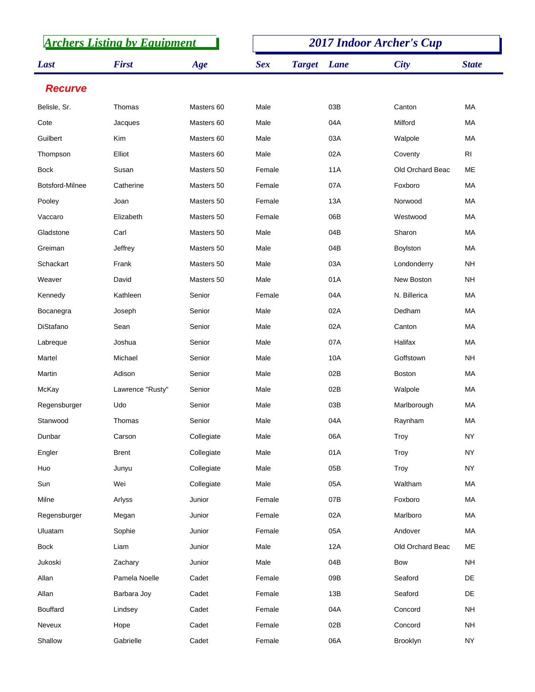| <b>Archers Listing by Equipment</b> |                  |            | <b>2017 Indoor Archer's Cup</b> |               |            |                  |                |
|-------------------------------------|------------------|------------|---------------------------------|---------------|------------|------------------|----------------|
| Last                                | <b>First</b>     | Age        | <b>Sex</b>                      | <b>Target</b> | Lane       | <b>City</b>      | <b>State</b>   |
| <b>Recurve</b>                      |                  |            |                                 |               |            |                  |                |
| Belisle, Sr.                        | Thomas           | Masters 60 | Male                            |               | 03B        | Canton           | <b>MA</b>      |
| Cote                                | Jacques          | Masters 60 | Male                            |               | 04A        | Milford          | MA             |
| Guilbert                            | <b>Kim</b>       | Masters 60 | Male                            |               | 03A        | Walpole          | MA             |
| Thompson                            | Elliot           | Masters 60 | Male                            |               | 02A        | Coventy          | R <sub>l</sub> |
| <b>Bock</b>                         | Susan            | Masters 50 | Female                          |               | <b>11A</b> | Old Orchard Beac | <b>ME</b>      |
| Botsford-Milnee                     | Catherine        | Masters 50 | Female                          |               | 07A        | Foxboro          | МA             |
| Pooley                              | Joan             | Masters 50 | Female                          |               | 13A        | Norwood          | <b>MA</b>      |
| Vaccaro                             | Elizabeth        | Masters 50 | Female                          |               | 06B        | Westwood         | MA             |
| Gladstone                           | Carl             | Masters 50 | Male                            |               | 04B        | Sharon           | MA             |
| Greiman                             | Jeffrey          | Masters 50 | Male                            |               | 04B        | Boylston         | MA             |
| Schackart                           | Frank            | Masters 50 | Male                            |               | 03A        | Londonderry      | <b>NH</b>      |
| Weaver                              | David            | Masters 50 | Male                            |               | 01A        | New Boston       | NΗ             |
| Kennedy                             | Kathleen         | Senior     | Female                          |               | 04A        | N. Billerica     | <b>MA</b>      |
| Bocanegra                           | Joseph           | Senior     | Male                            |               | 02A        | Dedham           | MA             |
| DiStafano                           | Sean             | Senior     | Male                            |               | 02A        | Canton           | <b>MA</b>      |
| Labreque                            | Joshua           | Senior     | Male                            |               | 07A        | Halifax          | MA             |
| Martel                              | Michael          | Senior     | Male                            |               | 10A        | Goffstown        | <b>NH</b>      |
| Martin                              | Adison           | Senior     | Male                            |               | 02B        | <b>Boston</b>    | MA             |
| McKay                               | Lawrence "Rusty" | Senior     | Male                            |               | 02B        | Walpole          | MA             |
| Regensburger                        | Udo              | Senior     | Male                            |               | 03B        | Marlborough      | МA             |
| Stanwood                            | Thomas           | Senior     | Male                            |               | 04A        | Raynham          | МA             |
| Dunbar                              | Carson           | Collegiate | Male                            |               | 06A        | Troy             | <b>NY</b>      |
| Engler                              | <b>Brent</b>     | Collegiate | Male                            |               | 01A        | Troy             | <b>NY</b>      |
| Huo                                 | Junyu            | Collegiate | Male                            |               | 05B        | Troy             | <b>NY</b>      |
| Sun                                 | Wei              | Collegiate | Male                            |               | 05A        | Waltham          | MA             |
| Milne                               | Arlyss           | Junior     | Female                          |               | 07B        | Foxboro          | MA             |
| Regensburger                        | Megan            | Junior     | Female                          |               | 02A        | Marlboro         | MA             |
| Uluatam                             | Sophie           | Junior     | Female                          |               | 05A        | Andover          | MA             |
| <b>Bock</b>                         | Liam             | Junior     | Male                            |               | 12A        | Old Orchard Beac | ME             |
| Jukoski                             | Zachary          | Junior     | Male                            |               | 04B        | Bow              | <b>NH</b>      |
| Allan                               | Pamela Noelle    | Cadet      | Female                          |               | 09B        | Seaford          | DE             |
| Allan                               | Barbara Joy      | Cadet      | Female                          |               | 13B        | Seaford          | DE             |
| <b>Bouffard</b>                     | Lindsey          | Cadet      | Female                          |               | 04A        | Concord          | <b>NH</b>      |
| Neveux                              | Hope             | Cadet      | Female                          |               | 02B        | Concord          | <b>NH</b>      |
| Shallow                             | Gabrielle        | Cadet      | Female                          |               | 06A        | Brooklyn         | <b>NY</b>      |